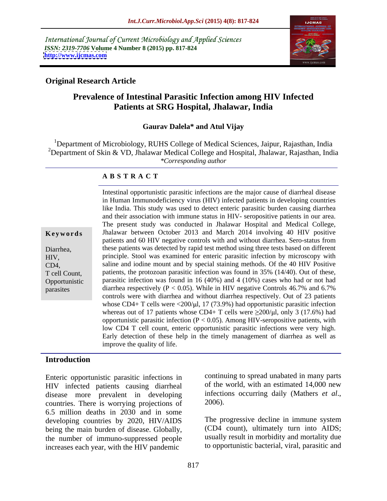International Journal of Current Microbiology and Applied Sciences *ISSN: 2319-7706* **Volume 4 Number 8 (2015) pp. 817-824 <http://www.ijcmas.com>**



## **Original Research Article**

# **Prevalence of Intestinal Parasitic Infection among HIV Infected Patients at SRG Hospital, Jhalawar, India**

### **Gaurav Dalela\* and Atul Vijay**

<sup>1</sup>Department of Microbiology, RUHS College of Medical Sciences, Jaipur, Rajasthan, India <sup>2</sup>Department of Skin & VD, Jhalawar Medical College and Hospital, Jhalawar, Rajasthan, India *\*Corresponding author*

### **A B S T R A C T**

parasites

Intestinal opportunistic parasitic infections are the major cause of diarrheal disease in Human Immunodeficiency virus (HIV) infected patients in developing countries like India. This study was used to detect enteric parasitic burden causing diarrhea and their association with immune status in HIV- seropositive patients in our area. The present study was conducted in Jhalawar Hospital and Medical College, **Keywords** Jhalawar between October 2013 and March 2014 involving 40 HIV positive patients and 60 HIV negative controls with and without diarrhea. Sero-status from these patients was detected by rapid test method using three tests based on different Diarrhea, principle. Stool was examined for enteric parasitic infection by microscopy with HIV, saline and iodine mount and by special staining methods. Of the 40 HIV Positive CD4, T cell Count, patients, the protozoan parasitic infection was found in 35% (14/40). Out of these, parasitic infection was found in 16 (40%) and 4 (10%) cases who had or not had Opportunistic diarrhea respectively ( $P < 0.05$ ). While in HIV negative Controls 46.7% and 6.7% controls were with diarrhea and without diarrhea respectively. Out of 23 patients whose CD4+ T cells were  $\langle 200/\mu l, 17 (73.9%)$  had opportunistic parasitic infection whereas out of 17 patients whose CD4+ T cells were  $\geq 200/\mu$ , only 3 (17.6%) had opportunistic parasitic infection ( $P < 0.05$ ). Among HIV-seropositive patients, with low CD4 T cell count, enteric opportunistic parasitic infections were very high. Early detection of these help in the timely management of diarrhea as well as improve the quality of life.

### **Introduction**

Enteric opportunistic parasitic infections in HIV infected patients causing diarrheal of the world, with an estimated 14,000 new<br>disease more prevalent in developing infections occurring daily (Mathers *et al.*, disease more prevalent in developing countries. There is worrying projections of 2006). 6.5 million deaths in 2030 and in some developing countries by 2020, HIV/AIDS being the main burden of disease. Globally, the number of immuno-suppressed people increases each year, with the HIV pandemic

continuing to spread unabated in many parts of the world, with an estimated 14,000 new infections occurring daily (Mathers *et al*., 2006).

The progressive decline in immune system (CD4 count), ultimately turn into AIDS; usually result in morbidity and mortality due to opportunistic bacterial, viral, parasitic and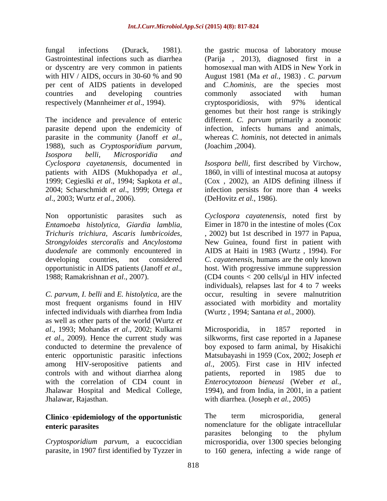fungal infections (Durack, 1981). the gastric mucosa of laboratory mouse Gastrointestinal infections such as diarrhea (Parija , 2013), diagnosed first in a or dyscentry are very common in patients with HIV / AIDS, occurs in 30-60 % and 90 August 1981 (Ma *et al.*, 1983). C. parvum per cent of AIDS patients in developed and *C.hominis,* are the species most countries and developing countries respectively (Mannheimer *et al*., 1994).

The incidence and prevalence of enteric different. *C. parvum* primarily a zoonotic parasite depend upon the endemicity of parasite in the community (Janoff *et al.*, whereas *C. hominis*, not detected in animals 1988), such as *Cryptosporidium parvum*, (Joachim, 2004). *Isospora belli, Microsporidia and Cyclospora cayetanensis,* documented in *Isospora belli,* first described by Virchow, patients with AIDS (Mukhopadya *et al.*, 1860, in villi of intestinal mucosa at autopsy<br>1999; Cegieslki *et al.*, 1994; Sapkota *et al.*, (Cox , 2002), an AIDS defining illness if<br>2004; Scharschmidt *et al.*, 1999; Ortega *al*., 2003; Wurtz *et al*., 2006).

*C. parvum, I. belli* and *E. histolytica,* are the most frequent organisms found in HIV associated with morbidity and mortality infected individuals with diarrhea from India as well as other parts of the world (Wurtz *et al*., 1993; Mohandas *et al*., 2002; Kulkarni controls with and without diarrhea along patients, reported in 1985 due to with the correlation of CD4 count in Enterocytozoon bieneusi (Weber et al., Jhalawar Hospital and Medical College,

homosexual man with AIDS in New York in August 1981 (Ma *et al.*, 1983) . *C. parvum* commonly associated with human cryptosporidiosis, with 97% identical genomes but their host range is strikingly infection, infects humans and animals, whereas *C. hominis,* not detected in animals (Joachim ,2004).

1860, in villi of intestinal mucosa at autopsy (Cox , 2002), an AIDS defining illness if infection persists for more than 4 weeks (DeHovitz *et al.*, 1986).

Non opportunistic parasites such as *Cyclospora cayatenensis,* noted first by *Entamoeba histolytica, Giardia lamblia,* Eimer in 1870 in the intestine of moles (Cox *Trichuris trichiura, Ascaris lumbricoides,* , 2002) but 1st described in 1977 in Papua, *Strongyloides stercoralis* and *Ancylostoma*  New Guinea, found first in patient with *duodenale* are commonly encountered in AIDS at Haiti in 1983 (Wurtz , 1994). For developing countries, not considered *C. cayatenensis*, humans are the only known opportunistic in AIDS patients (Janoff *et al*., 1988; Ramakrishnan *et al*., 2007). host. With progressive immune suppression (CD4 counts  $<$  200 cells/ $\mu$ l in HIV infected individuals), relapses last for 4 to 7 weeks occur, resulting in severe malnutrition (Wurtz , 1994; Santana *et al.*, 2000).

*et al*., 2009). Hence the current study was silkworms, first case reported in a Japanese conducted to determine the prevalence of boy exposed to farm animal, by Hisakichi enteric opportunistic parasitic infections Matsubayashi in 1959 (Cox, 2002; Joseph *et*  among HIV-seropositive patients and *al.*, 2005). First case in HIV infected Jhalawar, Rajasthan. with diarrhea. (Joseph *et al.*, 2005) Microsporidia, in 1857 reported in patients, reported in 1985 due to *Enterocytozoon bieneusi* (Weber *et al.*, 1994), and from India, in 2001, in <sup>a</sup> patient

**Clinico epidemiology of the opportunistic enteric parasites** nomenclature for the obligate intracellular *Cryptosporidium parvum*, a eucoccidian microsporidia, over 1300 species belonging parasite, in 1907 first identified by Tyzzer in to 160 genera, infecting a wide range ofThe term microsporidia, general parasites belonging to the phylum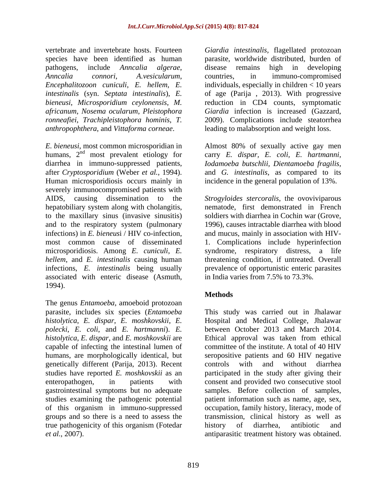*africanum*, *Nosema ocularum*, *Pleistophora anthropophthera*, and *Vittaforma corneae*.

*E. bieneusi*, most common microsporidian in Almost 80% of sexually active gay men humans, 2 nd most prevalent etiology for carry *E. dispar, E. coli, E. hartmanni,* diarrhea in immuno-suppressed patients, *Iodamoeba butschlii, Dientamoeba fragilis,* after *Cryptosporidium* (Weber *et al.*, 1994). and *G. intestinalis*, as compared to its Human microsporidiosis occurs mainly in severely immunocompromised patients with AIDS, causing dissemination to the *Strogyloides stercoralis*, the ovoviviparous hepatobiliary system along with cholangitis, to the maxillary sinus (invasive sinusitis) and to the respiratory system (pulmonary infections) in *E. bieneus*i / HIV co-infection, and mucus, mainly in association with HIV most common cause of disseminated 1. Complications include hyperinfection microsporidiosis. Among *E. cuniculi*, *E.*  syndrome, respiratory distress, a life *hellem*, and *E. intestinalis* causing human infections, *E. intestinalis* being usually prevalence of opportunistic enteric parasites associated with enteric disease (Asmuth, 1994).

The genus *Entamoeba*, amoeboid protozoan *polecki*, *E. coli*, and *E. hartmanni*). *E.*  genetically different (Parija, 2013). Recent gastrointestinal symptoms but no adequate *et al.*, 2007). antiparasitic treatment history was obtained.

vertebrate and invertebrate hosts. Fourteen *Giardia intestinalis,* flagellated protozoan species have been identified as human parasite, worldwide distributed, burden of pathogens, include *Anncalia algerae*, *Anncalia connori*, *A.vesicularum*, *Encephalitozoon cuniculi*, *E. hellem*, *E.*  individuals, especially in children < 10 years *intestinalis* (syn. *Septata intestinalis*), *E.*  of age (Parija , 2013). With progressive *bieneusi*, *Microsporidium ceylonensis*, *M.*  reduction in CD4 counts, symptomatic *ronneafiei*, *Trachipleistophora hominis*, *T.* 2009). Complications include steatorrhea disease remains high in developing countries, in immuno-compromised *Giardia* infection is increased (Gazzard, leading to malabsorption and weight loss.

incidence in the general population of 13%.

nematode, first demonstrated in French soldiers with diarrhea in Cochin war (Grove, 1996), causes intractable diarrhea with blood threatening condition, if untreated. Overall in India varies from 7.5% to 73.3%.

# **Methods**

parasite, includes six species (*Entamoeba*  This study was carried out in Jhalawar *histolytica*, *E. dispar*, *E. moshkovskii*, *E.*  Hospital and Medical College, Jhalawar *histolytica*, *E. dispar*, and *E. moshkovskii* are Ethical approval was taken from ethical capable of infecting the intestinal lumen of committee of the institute. A total of 40 HIV humans, are morphologically identical, but seropositive patients and 60 HIV negative studies have reported *E. moshkovskii* as an participated in the study after giving their enteropathogen, in patients with consent and provided two consecutive stool studies examining the pathogenic potential patient information such as name, age, sex, of this organism in immuno-suppressed occupation, family history, literacy, mode of groups and so there is a need to assess the transmission, clinical history as well as true pathogenicity of this organism (Fotedar between October 2013 and March 2014. controls with and without diarrhea samples. Before collection of samples, history of diarrhea, antibiotic and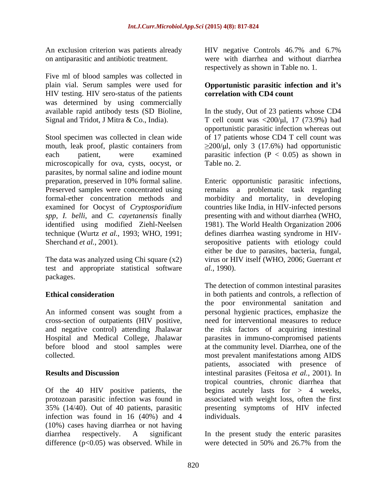An exclusion criterion was patients already HIV negative Controls 46.7% and 6.7%

Five ml of blood samples was collected in plain vial. Serum samples were used for **Opportunistic parasitic infection and it s** HIV testing. HIV sero-status of the patients was determined by using commercially

Stool specimen was collected in clean wide mouth, leak proof, plastic containers from each patient, were examined parasitic infection  $(P < 0.05)$  as shown in microscopically for ova, cysts, oocyst, or Table no. 2. parasites, by normal saline and iodine mount preparation, preserved in 10% formal saline. Enteric opportunistic parasitic infections, Preserved samples were concentrated using remains a problematic task regarding formal-ether concentration methods and morbidity and mortality, in developing examined for Oocyst of *Cryptosporidium spp*, *I. belli*, and *C. cayetanensis* finally presenting with and without diarrhea (WHO, identified using modified Ziehl-Neelsen 1981). The World Health Organization 2006 technique (Wurtz *et al.*, 1993; WHO, 1991; Sherchand *et al.*, 2001). Sherchand *et al.*, 2001). Seropositive patients with etiology could

The data was analyzed using Chi square (x2) test and appropriate statistical software *al.*, 1990). packages. The contract of the contract of the contract of the contract of the contract of the contract of the contract of the contract of the contract of the contract of the contract of the contract of the contract of the

cross-section of outpatients (HIV positive, and negative control) attending Jhalawar

Of the 40 HIV positive patients, the infection was found in 16 (40%) and 4 individuals. (10%) cases having diarrhea or not having diarrhea respectively. A significant In the present study the enteric parasites difference  $(p<0.05)$  was observed. While in were detected in 50% and 26.7% from the

on antiparasitic and antibiotic treatment. were with diarrhea and without diarrhea HIV negative Controls 46.7% and 6.7% respectively as shown in Table no. 1.

# **correlation with CD4 count**

available rapid antibody tests (SD Bioline, In the study, Out of 23 patients whose CD4 Signal and Tridot, J Mitra & Co., India). T cell count was  $\langle 200/\mu l, 17 (73.9%)$  had opportunistic parasitic infection whereas out of 17 patients whose CD4 T cell count was  $\geq$ 200/ $\mu$ l, only 3 (17.6%) had opportunistic Table no. 2.

> countries like India, in HIV-infected persons defines diarrhea wasting syndrome in HIV either be due to parasites, bacteria, fungal, virus or HIV itself (WHO, 2006; Guerrant *et al.*, 1990).

**Ethical consideration** in both patients and controls, a reflection of An informed consent was sought from a personal hygienic practices, emphasize the Hospital and Medical College, Jhalawar parasites in immuno-compromised patients before blood and stool samples were at the community level. Diarrhea, one of the collected. most prevalent manifestations among AIDS **Results and Discussion** intestinal parasites (Feitosa *et al.*, 2001). In protozoan parasitic infection was found in associated with weight loss, often the first 35% (14/40). Out of 40 patients, parasitic presenting symptoms of HIV infected The detection of common intestinal parasites the poor environmental sanitation and need for interventional measures to reduce the risk factors of acquiring intestinal patients, associated with presence of tropical countries, chronic diarrhea that begins acutely lasts for  $> 4$  weeks, individuals.

were detected in 50% and 26.7% from the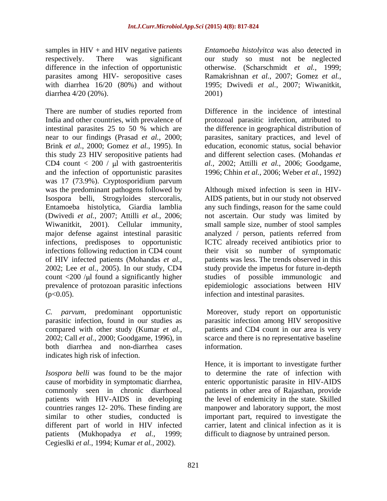samples in HIV + and HIV negative patients *Entamoeba histolyitca* was also detected in respectively. There was significant our study so must not be neglected difference in the infection of opportunistic otherwise. (Scharschmidt *et al.*, 1999; parasites among HIV- seropositive cases Ramakrishnan et al., 2007; Gomez et al., with diarrhea 16/20 (80%) and without 1995; Dwivedi et al., 2007; Wiwanitkit, diarrhea 4/20 (20%).

There are number of studies reported from India and other countries, with prevalence of protozoal parasitic infection, attributed to intestinal parasites 25 to 50 % which are the difference in geographical distribution of near to our findings (Prasad *et al.*, 2000; parasites, sanitary practices, and level of Brink *et al.*, 2000; Gomez *et al.*, 1995). In this study 23 HIV seropositive patients had CD4 count  $< 200 / \mu l$  with gastroenteritis and the infection of opportunistic parasites 1996; Chhin *et al.*, 2006; Weber *et al.*, 1992) was 17 (73.9%). Cryptosporidium parvum was the predominant pathogens followed by Although mixed infection is seen in HIV- Isospora belli, Strogyloides stercoralis, AIDS patients, but in our study not observed Entamoeba histolytica, Giardia lamblia (Dwivedi *et al.*, 2007; Attilli *et al.*, 2006; not ascertain. Our study was limited by Wiwanitkit, 2001). Cellular immunity, small sample size, number of stool samples major defense against intestinal parasitic analyzed / person, patients referred from infections, predisposes to opportunistic ICTC already received antibiotics prior to infections following reduction in CD4 count their visit so number of symptomatic of HIV infected patients (Mohandas *et al.*, 2002; Lee *et al.,*2005). In our study, CD4 count <200 /µl found a significantly higher studies of possible immunologic and prevalence of protozoan parasitic infections (p<0.05). infection and intestinal parasites.

*C. parvum,* predominant opportunistic Moreover, study report on opportunistic parasitic infection, found in our studies as parasitic infection among HIV seropositive compared with other study (Kumar *et al.*, 2002; Call *et al.*, 2000; Goodgame, 1996), in scarce and there is no representative baseline both diarrhea and non-diarrhea cases indicates high risk of infection.

*Isospora belli* was found to be the major patients with HIV-AIDS in developing Cegieslki *et al.*, 1994; Kumar *et al.*, 2002).

Ramakrishnan *et al.*, 2007; Gomez *et al.*, 1995; Dwivedi *et al.*, 2007; Wiwanitkit, 2001)

Difference in the incidence of intestinal education, economic status, social behavior and different selection cases. (Mohandas *et al.*, 2002; Attilli *et al.*, 2006; Goodgame,

any such findings, reason for the same could patients was less. The trends observed in this study provide the impetus for future in-depth epidemiologic associations between HIV

patients and CD4 count in our area is very information.

cause of morbidity in symptomatic diarrhea, enteric opportunistic parasite in HIV-AIDS commonly seen in chronic diarrhoeal patients in other area of Rajasthan, provide countries ranges 12- 20%. These finding are manpower and laboratory support, the most similar to other studies, conducted is important part, required to investigate the different part of world in HIV infected carrier, latent and clinical infection as it is patients (Mukhopadya *et al.*, 1999; difficult to diagnose by untrained person.Hence, it is important to investigate further to determine the rate of infection with the level of endemicity in the state. Skilled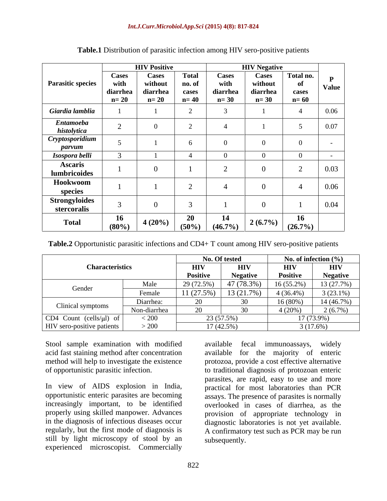|                                     |                                            | <b>HIV Positive</b>                           |                                           | <b>HIV Negative</b>                 |                                               |                                    |                              |
|-------------------------------------|--------------------------------------------|-----------------------------------------------|-------------------------------------------|-------------------------------------|-----------------------------------------------|------------------------------------|------------------------------|
| <b>Parasitic species</b>            | <b>Cases</b><br>with<br>diarrhea<br>$n=20$ | <b>Cases</b><br>without<br>diarrhea<br>$n=20$ | <b>Total</b><br>no. of<br>cases<br>$n=40$ | Cases<br>with<br>diarrhea<br>$n=30$ | <b>Cases</b><br>without<br>diarrhea<br>$n=30$ | Total no.<br>of<br>cases<br>$n=60$ | $\mathbf{P}$<br><b>Value</b> |
| Giardia lamblia                     |                                            |                                               |                                           |                                     |                                               |                                    | 0.06                         |
| <b>Entamoeba</b><br>histolytica     | $\sim$<br>┕                                |                                               |                                           |                                     |                                               |                                    | $0.07\,$                     |
| Cryptosporidium<br>parvum           |                                            |                                               |                                           |                                     |                                               | - 0                                | $\sim$                       |
| Isospora belli                      | $\overline{\phantom{a}}$                   |                                               |                                           |                                     |                                               |                                    |                              |
| <b>Ascaris</b><br>lumbricoides      |                                            |                                               |                                           |                                     |                                               | $\sim$<br>∼                        | 0.03                         |
| Hookwoom<br>species                 |                                            |                                               |                                           |                                     |                                               | $\sim$                             | 0.06                         |
| <b>Strongyloides</b><br>stercoralis |                                            |                                               |                                           |                                     |                                               |                                    | 0.04                         |
| <b>Total</b>                        | <b>16</b><br>$(80\%)$                      | $4(20\%)$                                     | <b>20</b><br>$(50\%)$                     | 14<br>$(46.7\%)$                    | $2(6.7\%)$                                    | <b>16</b><br>$(26.7\%)$            |                              |

### **Table.1** Distribution of parasitic infection among HIV sero-positive patients

**Table.2** Opportunistic parasitic infections and CD4+ T count among HIV sero-positive patients

|                                   |              |                 | No. Of tested   | No. of infection $(\% )$ |                 |
|-----------------------------------|--------------|-----------------|-----------------|--------------------------|-----------------|
| <b>Characteristics</b>            |              | <b>HIV</b>      | <b>HIV</b>      | <b>HIV</b>               | <b>HIV</b>      |
|                                   |              | <b>Positive</b> | <b>Negative</b> | Positive                 | <b>Negative</b> |
| Gender                            | Male         | 29 (72.5%)      | 47 (78.3%)      | $16(55.2\%)$             | 13(27.7%)       |
|                                   | Female       | $11(27.5\%)$    | 13 (21.7%)      | 4 (36.4%)                | $3(23.1\%)$     |
| Clinical symptoms                 | Diarrhea:    | 20              |                 | $16(80\%$                | 14 (46.7%)      |
|                                   | Non-diarrhea | 20              |                 | $(20\%)$                 | $2(6.7\%)$      |
| CD4 Count (cells/ $\mu$ l) of     | < 200        | 23 (57.5%)      |                 | 17 (73.9%)               |                 |
| <b>HIV</b> sero-positive patients | > 200        | 17 (42.5%)      |                 | 3(17.6%)                 |                 |

Stool sample examination with modified available fecal immunoassays, widely

In view of AIDS explosion in India, practical for most laboratories than PCR opportunistic enteric parasites are becoming increasingly important, to be identified overlooked in cases of diarrhea, as the properly using skilled manpower. Advances provision of appropriate technology in in the diagnosis of infectious diseases occur diagnostic laboratories is not yet available. regularly, but the first mode of diagnosis is still by light microscopy of stool by an experienced microscopist. Commercially

acid fast staining method after concentration available for the majority of enteric method will help to investigate the existence protozoa, provide a cost effective alternative of opportunistic parasitic infection. to traditional diagnosis of protozoan enteric available fecal immunoassays, parasites, are rapid, easy to use and more assays. The presence of parasites is normally A confirmatory test such as PCR may be run subsequently.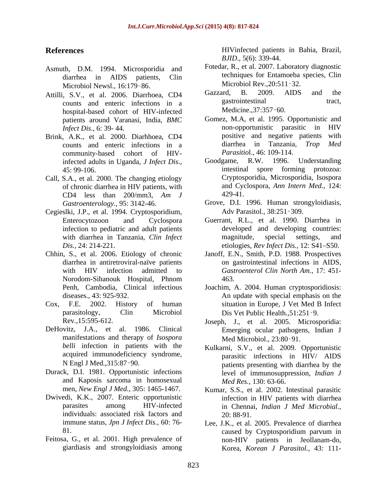- Asmuth, D.M. 1994. Microsporidia and Microbiol Newsl., 16:179-86.<br>
S. V. et al. 2006. Diarrhoes. CD4 Gazzard, B. 2009. AIDS and the
- counts and enteric infections in a gastrointestinal<br>hospital-based cohort of HIV-infected Medicine..37:357-60. hospital-based cohort of HIV-infected patients around Varanasi, India, *BMC*
- counts and enteric infections in a community-based cohort of HIV-<br>infected adults in Uganda *I Infect Dis* Goodgame, R.W. 1996.
- Call, S.A., et al. 2000. The changing etiology of chronic diarrhea in HIV patients, with  $\begin{array}{ccc}\n\text{and Cyc} \\
\text{CD4} & \text{less} \\
\text{than} & 200/\text{mm}^3 \\
\text{A1} & \text{A29-41} \\
\end{array}$ CD4 less than 200/mm3, *Am J*
- Cegieslki, J.P., et al. 1994. Cryptosporidium, infection to pediatric and adult patients
- 
- 
- DeHovitz, J.A., et al. 1986. Clinical manifestations and therapy of *Isospora belli* infection in patients with the Kulkarni, S.V., et al. 2009. Opportunistic acquired immunodeficiency syndrome,
- Durack, D.I. 1981. Opportunistic infections and Kaposis sarcoma in homosexual
- Dwivedi, K.K., 2007. Enteric opportunistic individuals: associated risk factors and
- giardiasis and strongyloidiasis among

**References** HIVinfected patients in Bahia, Brazil, *BJID*., 5(6): 339-44.

- diarrhea in AIDS patients, Clin Fotedar, R., et al. 2007. Laboratory diagnostic techniques for Entamoeba species, Clin Microbiol Rev.,20:511 32.
- Attilli, S.V., et al. 2006. Diarrhoea, CD4 Gazzard, B. 2009. AIDS and the counts and enteric infections in a gastrointestinal tract, Gazzard, B. 2009. AIDS and the gastrointestinal tract, Medicine., 37:357 - 60.
- *Infect Dis*., 6: 39- 44. non-opportunistic parasitic in HIV Brink, A.K., et al. 2000. Diarhhoea, CD4 positive and negative patients with<br>
counts and enteric infections in a diarrhea in Tanzania, Trop Med Gomez, M.A, et al. 1995. Opportunistic and positive and negative patients with diarrhea in Tanzania, *Trop Parasitio*l., 46: 109-114.
	- infected adults in Uganda, *J Infect Dis.*, Goodgame, R.W. 1996. Understanding 45: 99-106. Goodgame, R.W. 1996. Understanding intestinal spore forming protozoa: Cryptosporidia, Microsporidia, Isospora and Cyclospora, *Ann Intern Med.,* 124: 429-41.
	- *Gastroenterology.,* 95: 3142-46. Grove, D.I. 1996. Human strongyloidiasis, Adv Parasitol., 38:251-309.
	- Enterocytozoon and Cyclospora Guerrant, R.L., et al. 1990. Diarrhea in with diarrhea in Tanzania, *Clin Infect* magnitude, special settings, and etiologies, *Rev Infect Dis.*, 12: S41–S50. *Dis.*, 24: 214-221. 
	etiologies, *Rev Infect Dis.*, 12: S41–S50. developed and developing countries: magnitude, special settings, and
- Chhin, S., et al. 2006. Etiology of chronic Janoff, E.N., Smith, P.D. 1988. Prospectives diarrhea in antiretroviral-naïve patients on gastrointestinal infections in AIDS, with HIV infection admitted to *Gastroenterol Clin North Am.,* 17: 451- Norodom-Sihanouk Hospital, Phnom 463.
- Penh, Cambodia, Clinical infectious Joachim, A. 2004. Human cryptosporidiosis: diseases., 43: 925-932. An update with special emphasis on the Cox, F.E. 2002. History of human situation in Europe, J Vet Med B Infect parasitology, Clin Microbiol Dis Vet Public Health.,51:251 9.
	- Rev.,15:595-612. Joseph, J., et al. 2005. Microsporidia: Emerging ocular pathogens, Indian J Med Microbiol., 23:80 91.
	- N Engl J Med.,315:87 90. patients presenting with diarrhea by the parasitic infections in HIV/ AIDS level of immunosuppression, *Indian J Med Res.,* 130: 63-66.
	- men, *New Engl J Med.,* 305: 1465-1467. Kumar, S.S., et al. 2002. Intestinal parasitic parasites among HIV-infected in Chennai, *Indian J Med Microbial.,* infection in HIV patients with diarrhea 20: 88-91.
- immune status, *Jpn J Infect Dis.,* 60: 76- Lee, J.K., et al. 2005. Prevalence of diarrhea 81. Caused by Cryptosporidium parvum in Feitosa, G., et al. 2001. High prevalence of non-HIV patients in Jeollanam-do, caused by Cryptosporidium parvum in Korea, *Korean J Parasitol.,* 43: 111-